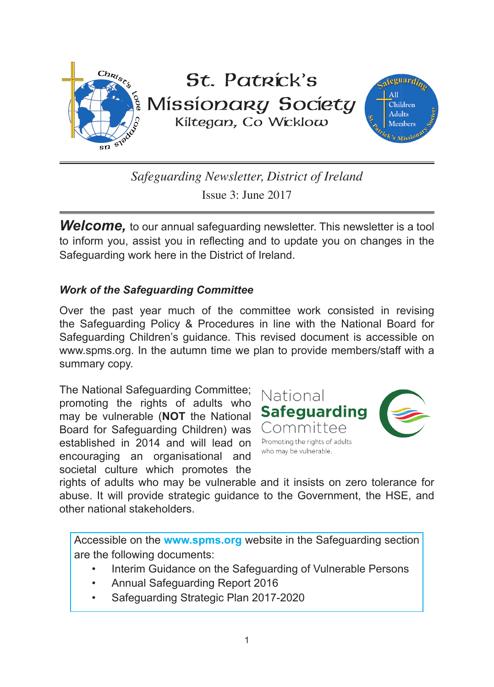

*Safeguarding Newsletter, District of Ireland* Issue 3: June 2017

**Welcome,** to our annual safeguarding newsletter. This newsletter is a tool to inform you, assist you in reflecting and to update you on changes in the Safeguarding work here in the District of Ireland.

### *Work of the Safeguarding Committee*

Over the past year much of the committee work consisted in revising the Safeguarding Policy & Procedures in line with the National Board for Safeguarding Children's guidance. This revised document is accessible on www.spms.org. In the autumn time we plan to provide members/staff with a summary copy.

The National Safeguarding Committee; promoting the rights of adults who may be vulnerable (**NOT** the National Board for Safeguarding Children) was established in 2014 and will lead on encouraging an organisational and societal culture which promotes the



rights of adults who may be vulnerable and it insists on zero tolerance for abuse. It will provide strategic guidance to the Government, the HSE, and other national stakeholders.

Accessible on the **www.spms.org** website in the Safeguarding section are the following documents:

- Interim Guidance on the Safeguarding of Vulnerable Persons
- Annual Safeguarding Report 2016
- Safeguarding Strategic Plan 2017-2020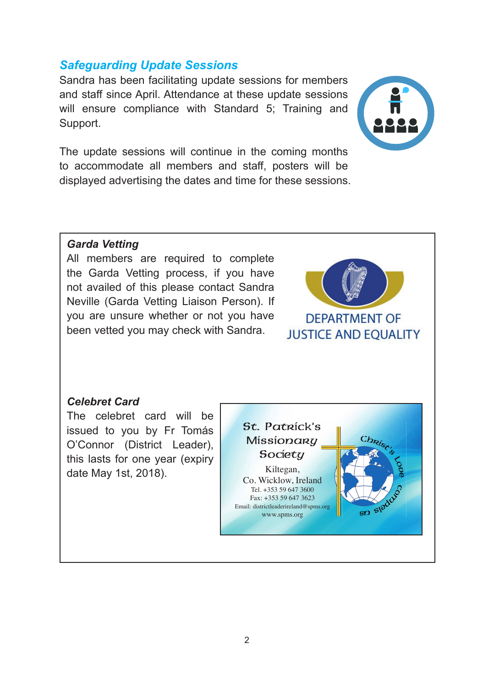## *Safeguarding Update Sessions*

Sandra has been facilitating update sessions for members and staff since April. Attendance at these update sessions will ensure compliance with Standard 5; Training and Support.

The update sessions will continue in the coming months to accommodate all members and staff, posters will be displayed advertising the dates and time for these sessions.



### *Garda Vetting*

All members are required to complete the Garda Vetting process, if you have not availed of this please contact Sandra Neville (Garda Vetting Liaison Person). If you are unsure whether or not you have been vetted you may check with Sandra.



#### *Celebret Card*

The celebret card will be issued to you by Fr Tomás O'Connor (District Leader), this lasts for one year (expiry date May 1st, 2018). Kiltegan,

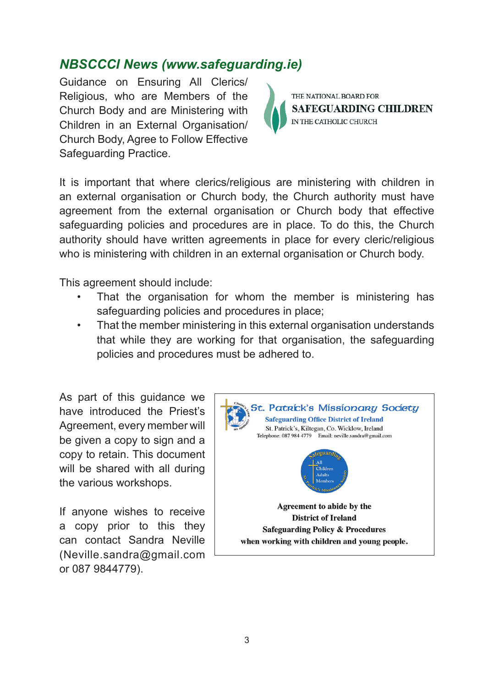# *NBSCCCI News (www.safeguarding.ie)*

Guidance on Ensuring All Clerics/ Religious, who are Members of the Church Body and are Ministering with Children in an External Organisation/ Church Body, Agree to Follow Effective Safeguarding Practice.



It is important that where clerics/religious are ministering with children in an external organisation or Church body, the Church authority must have agreement from the external organisation or Church body that effective safeguarding policies and procedures are in place. To do this, the Church authority should have written agreements in place for every cleric/religious who is ministering with children in an external organisation or Church body.

This agreement should include:

- That the organisation for whom the member is ministering has safeguarding policies and procedures in place;
- That the member ministering in this external organisation understands that while they are working for that organisation, the safeguarding policies and procedures must be adhered to.

As part of this guidance we have introduced the Priest's Agreement, every member will be given a copy to sign and a copy to retain. This document will be shared with all during the various workshops.

If anyone wishes to receive a copy prior to this they can contact Sandra Neville (Neville.sandra@gmail.com or 087 9844779).